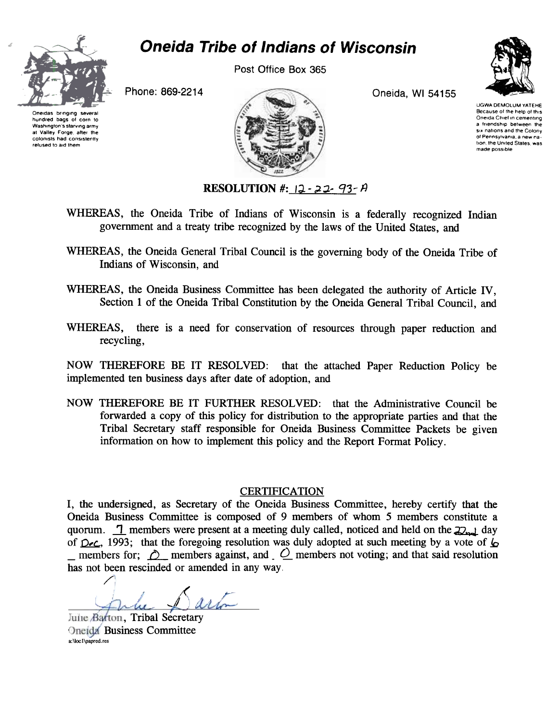

hundred bags of corn to Washington's starving army at Valley Forge, after the colonists had consistently refused to aid them

# Oneida Tribe of Indians of Wisconsin

Post Office Box 365





UGWA DEMOLUM YATEHE Because of the help of this Oneida Chief in cementing a Irlendship between the SIX nallons and Ihe Colony ot Pennsylvama a new na. tion, the United States, was made possible

RESOLUTION #:  $12 - 22 - 93 - 14$ 

- WHEREAS, the Oneida Tribe of Indians of Wisconsin is a federally recognized Indian government and a treaty tribe recognized by the laws of the United States, and
- WHEREAS, the Oneida General Tribal Council is the governing body of the Oneida Tribe of Indians of Wisconsin, and
- WHEREAS, the Oneida Business Committee has been delegated the authority of Article IV. Section 1 of the Oneida Tribal Constitution by the Oneida General Tribal Council, and
- WHEREAS, there is a need for conservation of resources through paper reduction and recycling,

NOW THEREFORE BE IT RESOLVED: that the attached Paper Reduction Policy be implemented ten business days after date of adoption, and

NOW THEREFORE BE IT FURTHER RESOLVED: that the Administrative Council be forwarded a copy of this policy for distribution to the appropriate parties and that the Tribal Secretary staff responsible for Oneida Business Committee Packets be given information on how to implement this policy and the Report Format Policy.

#### **CERTIFICATION**

I, the undersigned, as Secretary of the Oneida Business Committee, hereby certify that the Oneida Business Committee is composed of 9 members of whom 5 members constitute a quorum.  $\Box$  members were present at a meeting duly called, noticed and held on the  $\Box$  day of  $D\nu c$ , 1993; that the foregoing resolution was duly adopted at such meeting by a vote of  $\sigma$ members for;  $\hat{O}$  members against, and  $\hat{O}$  members not voting; and that said resolution has not been rescinded or amended in any way.

/ J

Julie Barton, Tribal Secretary **Oneida** Business Committee a:\locl\papred,res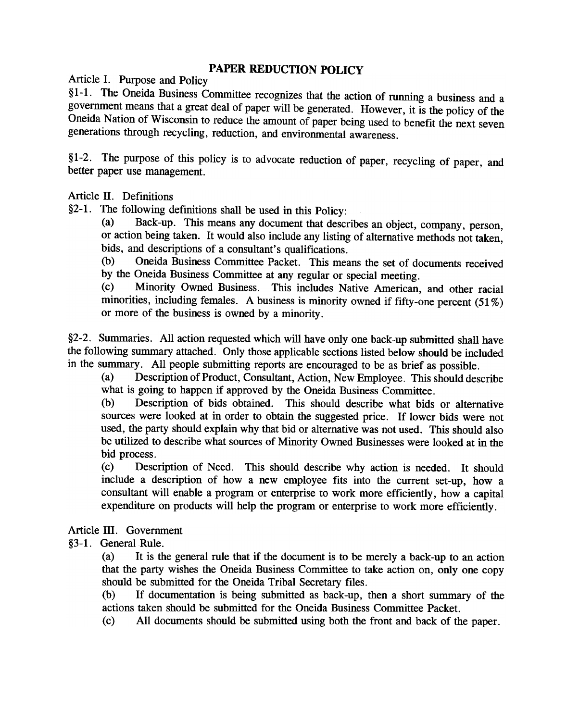## PAPER REDUCTION POLICY

Article I. Purpose and Policy

§ 1-1. The Oneida Business Committee recognizes that the action of running a business and a government means that a great deal of paper will be generated. However, it is the policy of the Oneida Nation of Wisconsin to reduce the amount of paper being used to benefit the next seven generations through recycling, reduction, and environmental awareness.

§1-2. The purpose of this policy is to advocate reduction of paper, recycling of paper, and better paper use management.

Article II. Definitions

§2-1. The following definitions shall be used in this Policy:

(a) Back-up. This means any document that describes an object, company, person, or action being taken. It would also include any listing of alternative methods not taken, bids, and descriptions of a consultant's qualifications.

(b) Oneida Business Committee Packet. This means the set of documents received by the Oneida Business Committee at any regular or special meeting.

(c) Minority Owned Business. This includes Native American, and other racial minorities, including females. A business is minority owned if fifty-one percent  $(51\%)$ or more of the business is owned by a minority.

§2-2. Summaries. All action requested which will have only one back-up submitted shall have the following summary attached. Only those applicable sections listed below should be included in the summary. All people submitting reports are encouraged to be as brief as possible.

(a) Description of Product, Consultant, Action, New Employee. This should describe what is going to happen if approved by the Oneida Business Committee.

(b) Description of bids obtained. This should describe what bids or alternative sources were looked at in order to obtain the suggested price. If lower bids were not used, the party should explain why that bid or alternative was not used. This should also be utilized to describe what sources of Minority Owned Businesses were looked at in the bid process.

(c) Description of Need. This should describe why action is needed. It should include a description of how a new employee fits into the current set-up, how a consultant will enable a program or enterprise to work more efficiently, how a capital expenditure on products will help the program or enterprise to work more efficiently.

Article III. Government

§3-1. General Rule.

(a) It is the general rule that if the document is to be merely a back-up to an action that the party wishes the Oneida Business Committee to take action on, only one copy should be submitted for the Oneida Tribal Secretary files.

(b) If documentation is being submitted as back-up, then a short summary of the actions taken should be submitted for the Oneida Business Committee Packet.

(c) All documents should be submitted using both the front and back of the paper.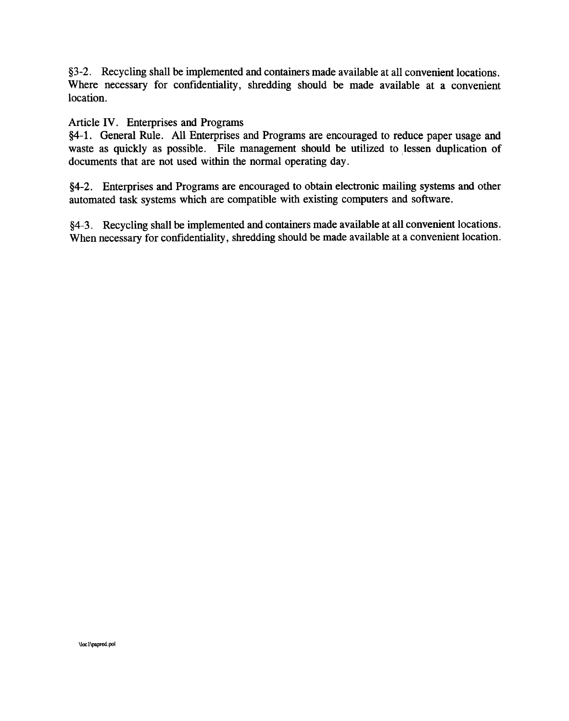§3-2. Recycling shall be implemented and containers made available at all convenient locations. Where necessary for confidentiality, shredding should be made available at a convenient location.

#### Article IV. Enterprises and Programs

§4-1. General Rule. All Enterprises and Programs are encouraged to reduce paper usage and waste as quickly as possible. File management should be utilized to lessen duplication of documents that are not used within the normal operating day.

§4-2. Enterprises and Programs are encouraged to obtain electronic mailing systems and other automated task systems which are compatible with existing computers and software.

§4-3. Recycling shall be implemented and containers made available at all convenient locations. When necessary for confidentiality, shredding should be made available at a convenient location.